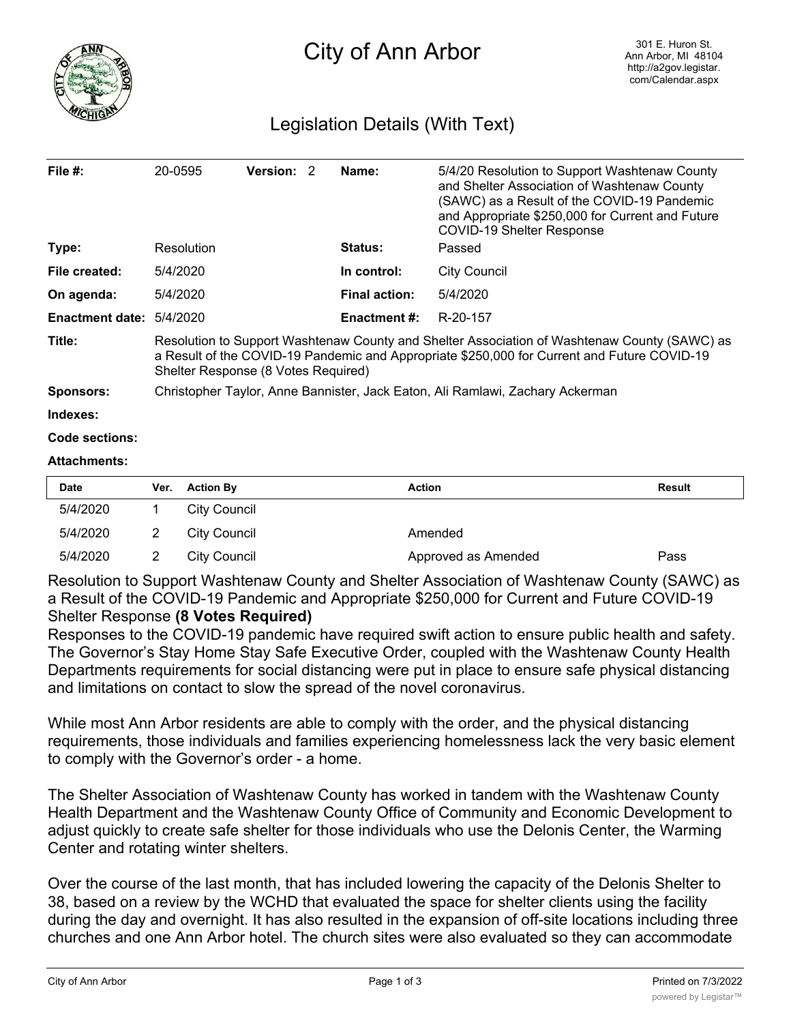

## Legislation Details (With Text)

| File $#$ :             | 20-0595                                                                                                                                                                                                                            | <b>Version: 2</b> |  | Name:                | 5/4/20 Resolution to Support Washtenaw County<br>and Shelter Association of Washtenaw County<br>(SAWC) as a Result of the COVID-19 Pandemic<br>and Appropriate \$250,000 for Current and Future<br><b>COVID-19 Shelter Response</b> |  |  |
|------------------------|------------------------------------------------------------------------------------------------------------------------------------------------------------------------------------------------------------------------------------|-------------------|--|----------------------|-------------------------------------------------------------------------------------------------------------------------------------------------------------------------------------------------------------------------------------|--|--|
| Type:                  | Resolution                                                                                                                                                                                                                         |                   |  | <b>Status:</b>       | Passed                                                                                                                                                                                                                              |  |  |
| File created:          | 5/4/2020                                                                                                                                                                                                                           |                   |  | In control:          | <b>City Council</b>                                                                                                                                                                                                                 |  |  |
| On agenda:             | 5/4/2020                                                                                                                                                                                                                           |                   |  | <b>Final action:</b> | 5/4/2020                                                                                                                                                                                                                            |  |  |
| <b>Enactment date:</b> | 5/4/2020                                                                                                                                                                                                                           |                   |  | <b>Enactment #:</b>  | R-20-157                                                                                                                                                                                                                            |  |  |
| Title:                 | Resolution to Support Washtenaw County and Shelter Association of Washtenaw County (SAWC) as<br>a Result of the COVID-19 Pandemic and Appropriate \$250,000 for Current and Future COVID-19<br>Shelter Response (8 Votes Required) |                   |  |                      |                                                                                                                                                                                                                                     |  |  |
| <b>Sponsors:</b>       | Christopher Taylor, Anne Bannister, Jack Eaton, Ali Ramlawi, Zachary Ackerman                                                                                                                                                      |                   |  |                      |                                                                                                                                                                                                                                     |  |  |
| Indexes:               |                                                                                                                                                                                                                                    |                   |  |                      |                                                                                                                                                                                                                                     |  |  |
| Code sections:         |                                                                                                                                                                                                                                    |                   |  |                      |                                                                                                                                                                                                                                     |  |  |
| <b>Attachments:</b>    |                                                                                                                                                                                                                                    |                   |  |                      |                                                                                                                                                                                                                                     |  |  |

| <b>Date</b> | Ver. | <b>Action By</b> | Action              | <b>Result</b> |
|-------------|------|------------------|---------------------|---------------|
| 5/4/2020    |      | City Council     |                     |               |
| 5/4/2020    |      | City Council     | Amended             |               |
| 5/4/2020    |      | City Council     | Approved as Amended | Pass          |

Resolution to Support Washtenaw County and Shelter Association of Washtenaw County (SAWC) as a Result of the COVID-19 Pandemic and Appropriate \$250,000 for Current and Future COVID-19 Shelter Response **(8 Votes Required)**

Responses to the COVID-19 pandemic have required swift action to ensure public health and safety. The Governor's Stay Home Stay Safe Executive Order, coupled with the Washtenaw County Health Departments requirements for social distancing were put in place to ensure safe physical distancing and limitations on contact to slow the spread of the novel coronavirus.

While most Ann Arbor residents are able to comply with the order, and the physical distancing requirements, those individuals and families experiencing homelessness lack the very basic element to comply with the Governor's order - a home.

The Shelter Association of Washtenaw County has worked in tandem with the Washtenaw County Health Department and the Washtenaw County Office of Community and Economic Development to adjust quickly to create safe shelter for those individuals who use the Delonis Center, the Warming Center and rotating winter shelters.

Over the course of the last month, that has included lowering the capacity of the Delonis Shelter to 38, based on a review by the WCHD that evaluated the space for shelter clients using the facility during the day and overnight. It has also resulted in the expansion of off-site locations including three churches and one Ann Arbor hotel. The church sites were also evaluated so they can accommodate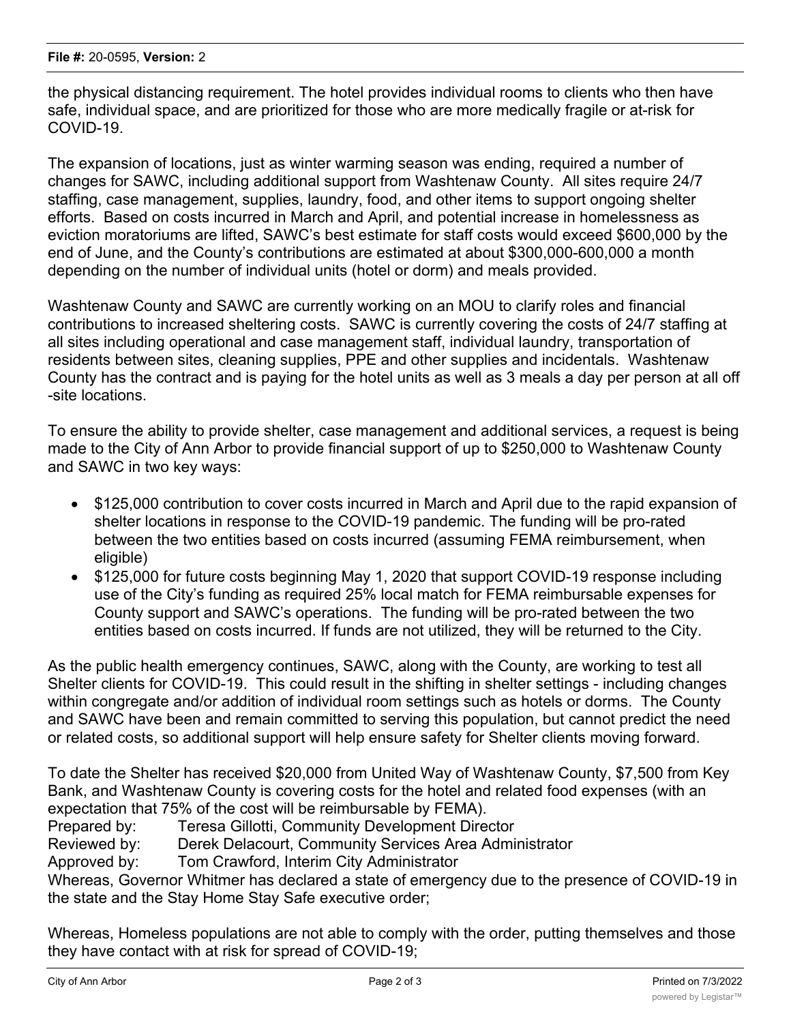the physical distancing requirement. The hotel provides individual rooms to clients who then have safe, individual space, and are prioritized for those who are more medically fragile or at-risk for COVID-19.

The expansion of locations, just as winter warming season was ending, required a number of changes for SAWC, including additional support from Washtenaw County. All sites require 24/7 staffing, case management, supplies, laundry, food, and other items to support ongoing shelter efforts. Based on costs incurred in March and April, and potential increase in homelessness as eviction moratoriums are lifted, SAWC's best estimate for staff costs would exceed \$600,000 by the end of June, and the County's contributions are estimated at about \$300,000-600,000 a month depending on the number of individual units (hotel or dorm) and meals provided.

Washtenaw County and SAWC are currently working on an MOU to clarify roles and financial contributions to increased sheltering costs. SAWC is currently covering the costs of 24/7 staffing at all sites including operational and case management staff, individual laundry, transportation of residents between sites, cleaning supplies, PPE and other supplies and incidentals. Washtenaw County has the contract and is paying for the hotel units as well as 3 meals a day per person at all off -site locations.

To ensure the ability to provide shelter, case management and additional services, a request is being made to the City of Ann Arbor to provide financial support of up to \$250,000 to Washtenaw County and SAWC in two key ways:

- · \$125,000 contribution to cover costs incurred in March and April due to the rapid expansion of shelter locations in response to the COVID-19 pandemic. The funding will be pro-rated between the two entities based on costs incurred (assuming FEMA reimbursement, when eligible)
- · \$125,000 for future costs beginning May 1, 2020 that support COVID-19 response including use of the City's funding as required 25% local match for FEMA reimbursable expenses for County support and SAWC's operations. The funding will be pro-rated between the two entities based on costs incurred. If funds are not utilized, they will be returned to the City.

As the public health emergency continues, SAWC, along with the County, are working to test all Shelter clients for COVID-19. This could result in the shifting in shelter settings - including changes within congregate and/or addition of individual room settings such as hotels or dorms. The County and SAWC have been and remain committed to serving this population, but cannot predict the need or related costs, so additional support will help ensure safety for Shelter clients moving forward.

To date the Shelter has received \$20,000 from United Way of Washtenaw County, \$7,500 from Key Bank, and Washtenaw County is covering costs for the hotel and related food expenses (with an expectation that 75% of the cost will be reimbursable by FEMA). Prepared by: Teresa Gillotti, Community Development Director Reviewed by: Derek Delacourt, Community Services Area Administrator Approved by: Tom Crawford, Interim City Administrator Whereas, Governor Whitmer has declared a state of emergency due to the presence of COVID-19 in the state and the Stay Home Stay Safe executive order;

Whereas, Homeless populations are not able to comply with the order, putting themselves and those they have contact with at risk for spread of COVID-19;